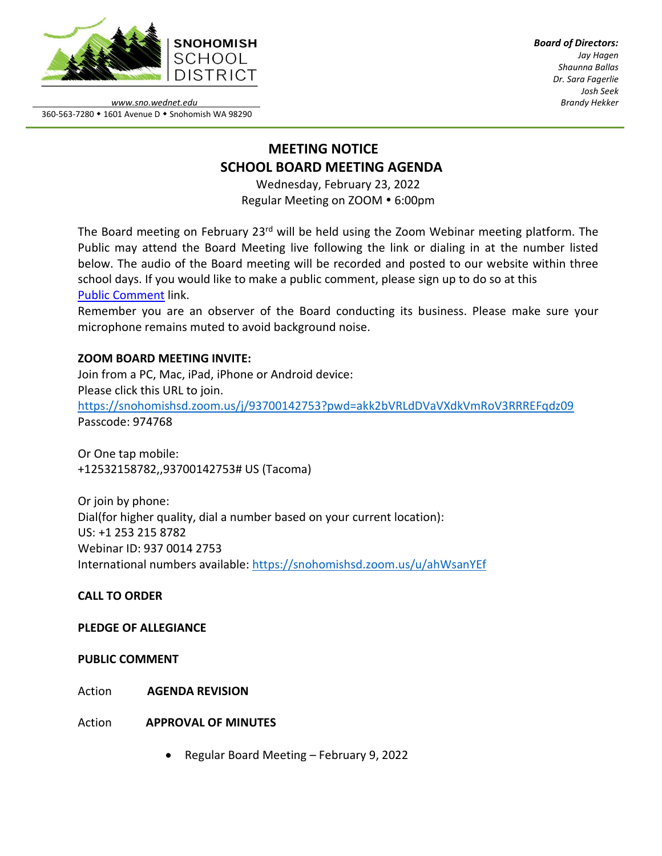

*Board of Directors: Jay Hagen Shaunna Ballas Dr. Sara Fagerlie Josh Seek Brandy Hekker*

*www.sno.wednet.edu* 360-563-7280 • 1601 Avenue D • Snohomish WA 98290

# **MEETING NOTICE SCHOOL BOARD MEETING AGENDA**

Wednesday, February 23, 2022 Regular Meeting on ZOOM . 6:00pm

The Board meeting on February 23<sup>rd</sup> will be held using the Zoom Webinar meeting platform. The Public may attend the Board Meeting live following the link or dialing in at the number listed below. The audio of the Board meeting will be recorded and posted to our website within three school days. If you would like to make a public comment, please sign up to do so at this Public [Comment](https://www.sno.wednet.edu/site/Default.aspx?PageID=5004) link.

Remember you are an observer of the Board conducting its business. Please make sure your microphone remains muted to avoid background noise.

# **ZOOM BOARD MEETING INVITE:**

Join from a PC, Mac, iPad, iPhone or Android device: Please click this URL to join. <https://snohomishsd.zoom.us/j/93700142753?pwd=akk2bVRLdDVaVXdkVmRoV3RRREFqdz09> Passcode: 974768

Or One tap mobile: +12532158782,,93700142753# US (Tacoma)

Or join by phone: Dial(for higher quality, dial a number based on your current location): US: +1 253 215 8782 Webinar ID: 937 0014 2753 International numbers available:<https://snohomishsd.zoom.us/u/ahWsanYEf>

# **CALL TO ORDER**

# **PLEDGE OF ALLEGIANCE**

# **PUBLIC COMMENT**

Action **AGENDA REVISION**

Action **APPROVAL OF MINUTES**

• Regular Board Meeting – February 9, 2022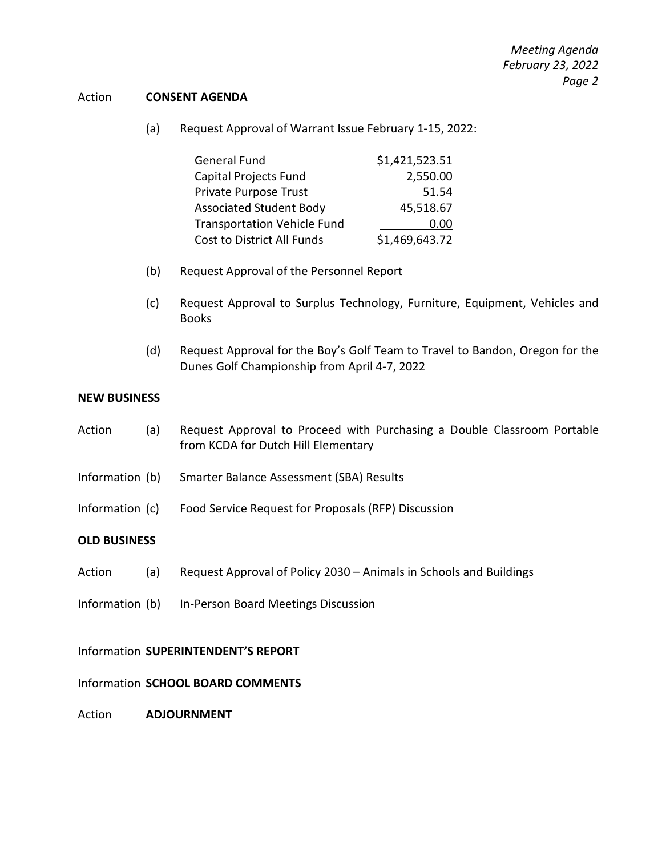#### Action **CONSENT AGENDA**

(a) Request Approval of Warrant Issue February 1-15, 2022:

| <b>General Fund</b>                | \$1,421,523.51 |
|------------------------------------|----------------|
| Capital Projects Fund              | 2,550.00       |
| Private Purpose Trust              | 51.54          |
| <b>Associated Student Body</b>     | 45,518.67      |
| <b>Transportation Vehicle Fund</b> | 0.00           |
| Cost to District All Funds         | \$1,469,643.72 |

- (b) Request Approval of the Personnel Report
- (c) Request Approval to Surplus Technology, Furniture, Equipment, Vehicles and Books
- (d) Request Approval for the Boy's Golf Team to Travel to Bandon, Oregon for the Dunes Golf Championship from April 4-7, 2022

#### **NEW BUSINESS**

- Action (a) Request Approval to Proceed with Purchasing a Double Classroom Portable from KCDA for Dutch Hill Elementary
- Information (b) Smarter Balance Assessment (SBA) Results
- Information (c) Food Service Request for Proposals (RFP) Discussion

# **OLD BUSINESS**

- Action (a) Request Approval of Policy 2030 Animals in Schools and Buildings
- Information (b) In-Person Board Meetings Discussion

#### Information **SUPERINTENDENT'S REPORT**

#### Information **SCHOOL BOARD COMMENTS**

Action **ADJOURNMENT**